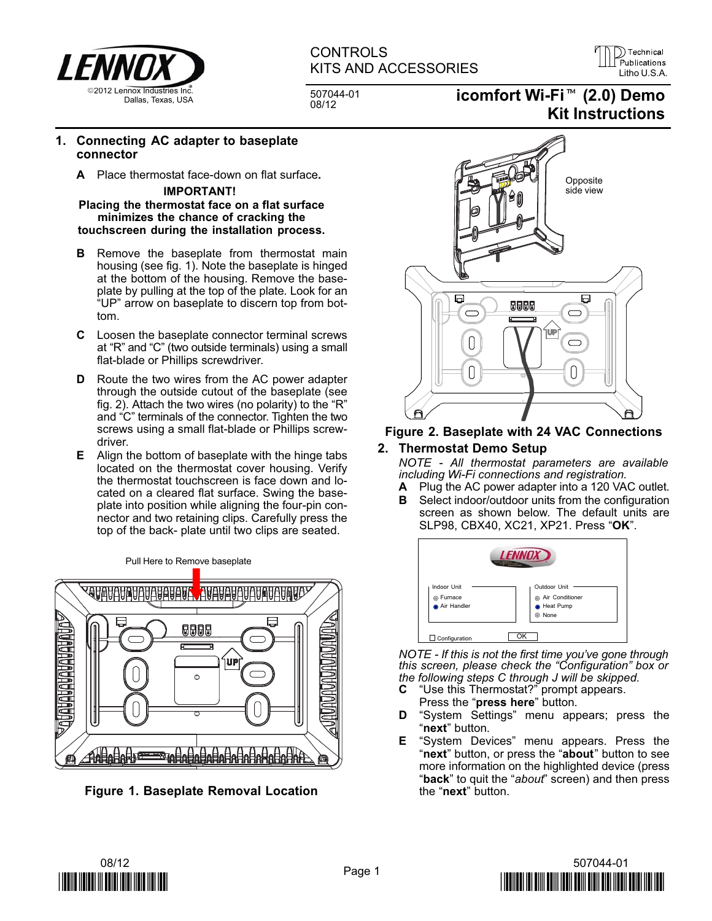

# **CONTROLS** KITS AND ACCESSORIES LILL Publications

D Technical

507044−01

# KITS AND ACCESSORIES<br>
507044-01 **icomfort Wi-Fi<sup>™</sup> (2.0) Demo**<br>
<sup>08/12</sup> icomfort Wi-Fi<sup>™</sup> (2.0) Demo Kit Instructions

#### 1. Connecting AC adapter to baseplate connector

A Place thermostat face−down on flat surface.

#### IMPORTANT!

#### Placing the thermostat face on a flat surface minimizes the chance of cracking the touchscreen during the installation process.

- **B** Remove the baseplate from thermostat main housing (see fig. 1). Note the baseplate is hinged at the bottom of the housing. Remove the baseplate by pulling at the top of the plate. Look for an -UP" arrow on baseplate to discern top from bottom.
- C Loosen the baseplate connector terminal screws at "R" and "C" (two outside terminals) using a small flat−blade or Phillips screwdriver.
- D Route the two wires from the AC power adapter through the outside cutout of the baseplate (see fig. 2). Attach the two wires (no polarity) to the "R" and "C" terminals of the connector. Tighten the two screws using a small flat−blade or Phillips screwdriver.
- E Align the bottom of baseplate with the hinge tabs located on the thermostat cover housing. Verify the thermostat touchscreen is face down and located on a cleared flat surface. Swing the baseplate into position while aligning the four−pin connector and two retaining clips. Carefully press the top of the back− plate until two clips are seated.

Pull Here to Remove baseplate



Figure 1. Baseplate Removal Location



#### Figure 2. Baseplate with 24 VAC Connections

# 2. Thermostat Demo Setup

NOTE − All thermostat parameters are available including Wi−Fi connections and registration.

- A Plug the AC power adapter into a 120 VAC outlet.
- **B** Select indoor/outdoor units from the configuration screen as shown below. The default units are SLP98, CBX40, XC21, XP21. Press "**OK**".



NOTE - If this is not the first time you've gone through this screen, please check the "Configuration" box or the following steps C through [J](#page-1-0) will be skipped.

- $\mathbf c$ Use this Thermostat?" prompt appears. Press the "press here" button.
- **D** "System Settings" menu appears; press the "next" button.
- **E** "System Devices" menu appears. Press the "next" button, or press the "about" button to see more information on the highlighted device (press "back" to quit the "about" screen) and then press the "**next**" button.